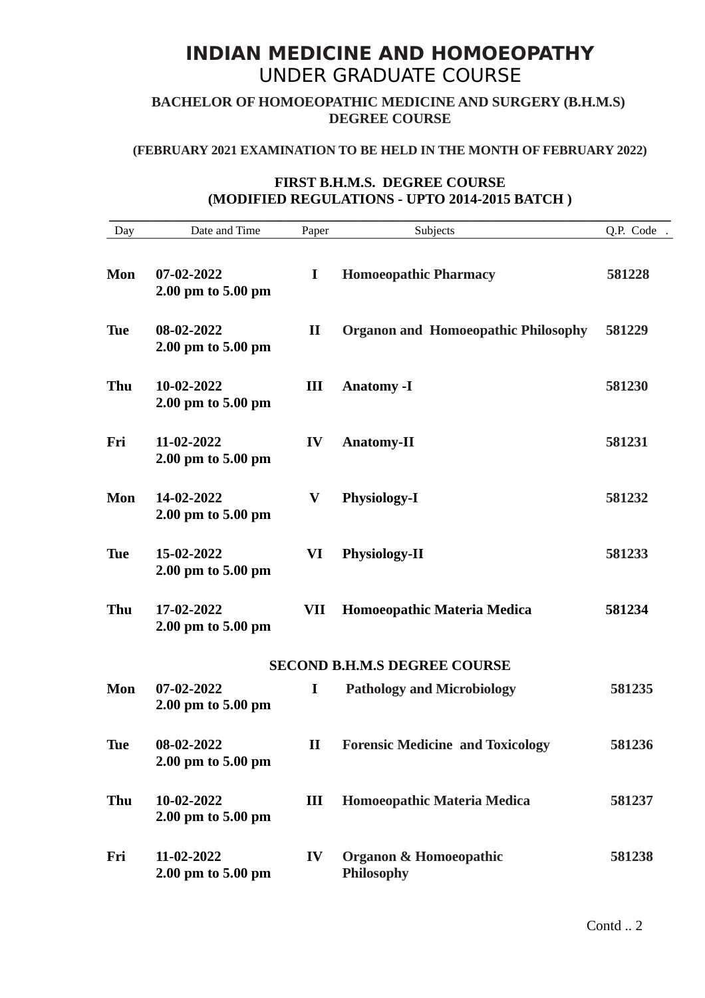# **INDIAN MEDICINE AND HOMOEOPATHY** UNDER GRADUATE COURSE

**BACHELOR OF HOMOEOPATHIC MEDICINE AND SURGERY (B.H.M.S) DEGREE COURSE**

### **(FEBRUARY 2021 EXAMINATION TO BE HELD IN THE MONTH OF FEBRUARY 2022)**

# **FIRST B.H.M.S. DEGREE COURSE (MODIFIED REGULATIONS - UPTO 2014-2015 BATCH )**

| Day        | Date and Time                    | Paper        | Subjects                                               | Q.P. Code. |
|------------|----------------------------------|--------------|--------------------------------------------------------|------------|
| Mon        | 07-02-2022<br>2.00 pm to 5.00 pm | I            | <b>Homoeopathic Pharmacy</b>                           | 581228     |
| <b>Tue</b> | 08-02-2022<br>2.00 pm to 5.00 pm | $\mathbf{I}$ | <b>Organon and Homoeopathic Philosophy</b>             | 581229     |
| Thu        | 10-02-2022<br>2.00 pm to 5.00 pm | Ш            | <b>Anatomy -I</b>                                      | 581230     |
| Fri        | 11-02-2022<br>2.00 pm to 5.00 pm | IV           | <b>Anatomy-II</b>                                      | 581231     |
| Mon        | 14-02-2022<br>2.00 pm to 5.00 pm | V            | <b>Physiology-I</b>                                    | 581232     |
| <b>Tue</b> | 15-02-2022<br>2.00 pm to 5.00 pm | VI           | <b>Physiology-II</b>                                   | 581233     |
| Thu        | 17-02-2022<br>2.00 pm to 5.00 pm | VII          | Homoeopathic Materia Medica                            | 581234     |
|            |                                  |              | <b>SECOND B.H.M.S DEGREE COURSE</b>                    |            |
| Mon        | 07-02-2022<br>2.00 pm to 5.00 pm | I            | <b>Pathology and Microbiology</b>                      | 581235     |
| Tue        | 08-02-2022<br>2.00 pm to 5.00 pm | $\mathbf{I}$ | <b>Forensic Medicine and Toxicology</b>                | 581236     |
| Thu        | 10-02-2022<br>2.00 pm to 5.00 pm | III          | Homoeopathic Materia Medica                            | 581237     |
| Fri        | 11-02-2022<br>2.00 pm to 5.00 pm | IV           | <b>Organon &amp; Homoeopathic</b><br><b>Philosophy</b> | 581238     |